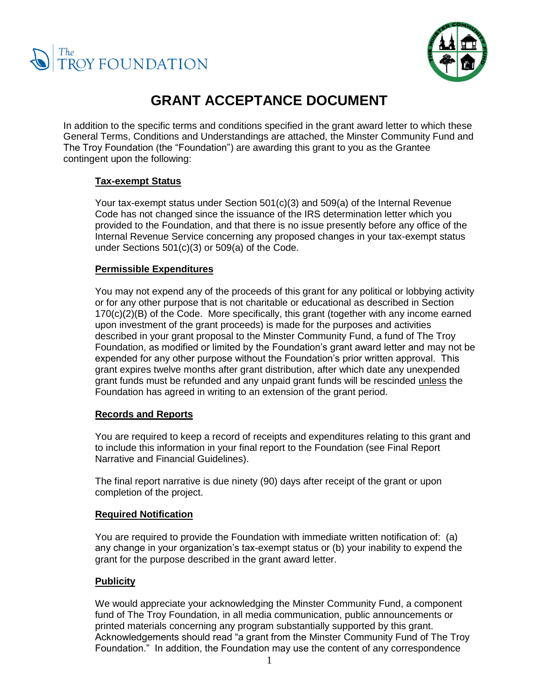



# **GRANT ACCEPTANCE DOCUMENT**

In addition to the specific terms and conditions specified in the grant award letter to which these General Terms, Conditions and Understandings are attached, the Minster Community Fund and The Troy Foundation (the "Foundation") are awarding this grant to you as the Grantee contingent upon the following:

## **Tax-exempt Status**

Your tax-exempt status under Section 501(c)(3) and 509(a) of the Internal Revenue Code has not changed since the issuance of the IRS determination letter which you provided to the Foundation, and that there is no issue presently before any office of the Internal Revenue Service concerning any proposed changes in your tax-exempt status under Sections 501(c)(3) or 509(a) of the Code.

## **Permissible Expenditures**

You may not expend any of the proceeds of this grant for any political or lobbying activity or for any other purpose that is not charitable or educational as described in Section  $170(c)(2)(B)$  of the Code. More specifically, this grant (together with any income earned upon investment of the grant proceeds) is made for the purposes and activities described in your grant proposal to the Minster Community Fund, a fund of The Troy Foundation, as modified or limited by the Foundation's grant award letter and may not be expended for any other purpose without the Foundation's prior written approval. This grant expires twelve months after grant distribution, after which date any unexpended grant funds must be refunded and any unpaid grant funds will be rescinded unless the Foundation has agreed in writing to an extension of the grant period.

## **Records and Reports**

You are required to keep a record of receipts and expenditures relating to this grant and to include this information in your final report to the Foundation (see Final Report Narrative and Financial Guidelines).

The final report narrative is due ninety (90) days after receipt of the grant or upon completion of the project.

#### **Required Notification**

You are required to provide the Foundation with immediate written notification of: (a) any change in your organization's tax-exempt status or (b) your inability to expend the grant for the purpose described in the grant award letter.

## **Publicity**

We would appreciate your acknowledging the Minster Community Fund, a component fund of The Troy Foundation, in all media communication, public announcements or printed materials concerning any program substantially supported by this grant. Acknowledgements should read "a grant from the Minster Community Fund of The Troy Foundation." In addition, the Foundation may use the content of any correspondence